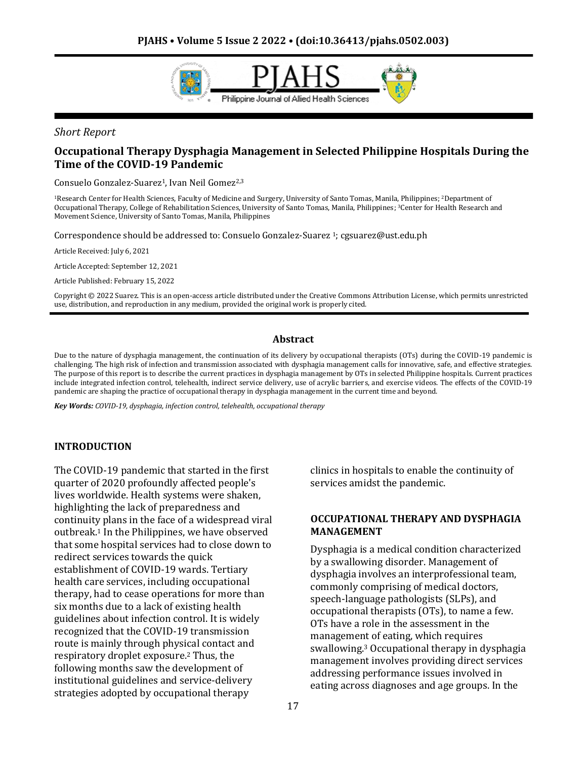

*Short Report*

# **Occupational Therapy Dysphagia Management in Selected Philippine Hospitals During the Time of the COVID-19 Pandemic**

Consuelo Gonzalez-Suarez<sup>1</sup>, Ivan Neil Gomez<sup>2,3</sup>

<sup>1</sup>Research Center for Health Sciences, Faculty of Medicine and Surgery, University of Santo Tomas, Manila, Philippines; 2Department of Occupational Therapy, College of Rehabilitation Sciences, University of Santo Tomas, Manila, Philippines; <sup>3</sup>Center for Health Research and Movement Science, University of Santo Tomas, Manila, Philippines

Correspondence should be addressed to: Consuelo Gonzalez-Suarez 1; cgsuarez@ust.edu.ph

Article Received: July 6, 2021

Article Accepted: September 12, 2021

Article Published: February 15, 2022

Copyright © 2022 Suarez. This is an open-access article distributed under the Creative Commons Attribution License, which permits unrestricted use, distribution, and reproduction in any medium, provided the original work is properly cited.

#### **Abstract**

Due to the nature of dysphagia management, the continuation of its delivery by occupational therapists (OTs) during the COVID-19 pandemic is challenging. The high risk of infection and transmission associated with dysphagia management calls for innovative, safe, and effective strategies. The purpose of this report is to describe the current practices in dysphagia management by OTs in selected Philippine hospitals. Current practices include integrated infection control, telehealth, indirect service delivery, use of acrylic barriers, and exercise videos. The effects of the COVID-19 pandemic are shaping the practice of occupational therapy in dysphagia management in the current time and beyond.

*Key Words: COVID-19, dysphagia, infection control, telehealth, occupational therapy*

#### **INTRODUCTION**

The COVID-19 pandemic that started in the first quarter of 2020 profoundly affected people's lives worldwide. Health systems were shaken, highlighting the lack of preparedness and continuity plans in the face of a widespread viral outbreak.<sup>1</sup> In the Philippines, we have observed that some hospital services had to close down to redirect services towards the quick establishment of COVID-19 wards. Tertiary health care services, including occupational therapy, had to cease operations for more than six months due to a lack of existing health guidelines about infection control. It is widely recognized that the COVID-19 transmission route is mainly through physical contact and respiratory droplet exposure.<sup>2</sup> Thus, the following months saw the development of institutional guidelines and service-delivery strategies adopted by occupational therapy

clinics in hospitals to enable the continuity of services amidst the pandemic.

#### **OCCUPATIONAL THERAPY AND DYSPHAGIA MANAGEMENT**

Dysphagia is a medical condition characterized by a swallowing disorder. Management of dysphagia involves an interprofessional team, commonly comprising of medical doctors, speech-language pathologists (SLPs), and occupational therapists (OTs), to name a few. OTs have a role in the assessment in the management of eating, which requires swallowing.<sup>3</sup> Occupational therapy in dysphagia management involves providing direct services addressing performance issues involved in eating across diagnoses and age groups. In the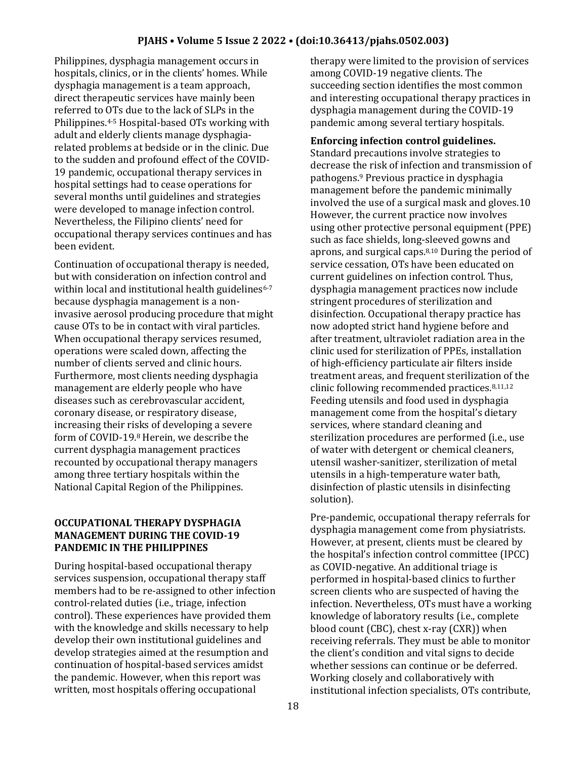Philippines, dysphagia management occurs in hospitals, clinics, or in the clients' homes. While dysphagia management is a team approach, direct therapeutic services have mainly been referred to OTs due to the lack of SLPs in the Philippines.4-5 Hospital-based OTs working with adult and elderly clients manage dysphagiarelated problems at bedside or in the clinic. Due to the sudden and profound effect of the COVID-19 pandemic, occupational therapy services in hospital settings had to cease operations for several months until guidelines and strategies were developed to manage infection control. Nevertheless, the Filipino clients' need for occupational therapy services continues and has been evident.

Continuation of occupational therapy is needed, but with consideration on infection control and within local and institutional health guidelines<sup>6-7</sup> because dysphagia management is a noninvasive aerosol producing procedure that might cause OTs to be in contact with viral particles. When occupational therapy services resumed, operations were scaled down, affecting the number of clients served and clinic hours. Furthermore, most clients needing dysphagia management are elderly people who have diseases such as cerebrovascular accident, coronary disease, or respiratory disease, increasing their risks of developing a severe form of COVID-19.<sup>8</sup> Herein, we describe the current dysphagia management practices recounted by occupational therapy managers among three tertiary hospitals within the National Capital Region of the Philippines.

# **OCCUPATIONAL THERAPY DYSPHAGIA MANAGEMENT DURING THE COVID-19 PANDEMIC IN THE PHILIPPINES**

During hospital-based occupational therapy services suspension, occupational therapy staff members had to be re-assigned to other infection control-related duties (i.e., triage, infection control). These experiences have provided them with the knowledge and skills necessary to help develop their own institutional guidelines and develop strategies aimed at the resumption and continuation of hospital-based services amidst the pandemic. However, when this report was written, most hospitals offering occupational

therapy were limited to the provision of services among COVID-19 negative clients. The succeeding section identifies the most common and interesting occupational therapy practices in dysphagia management during the COVID-19 pandemic among several tertiary hospitals.

### **Enforcing infection control guidelines.**

Standard precautions involve strategies to decrease the risk of infection and transmission of pathogens.<sup>9</sup> Previous practice in dysphagia management before the pandemic minimally involved the use of a surgical mask and gloves.10 However, the current practice now involves using other protective personal equipment (PPE) such as face shields, long-sleeved gowns and aprons, and surgical caps.8,10 During the period of service cessation, OTs have been educated on current guidelines on infection control. Thus, dysphagia management practices now include stringent procedures of sterilization and disinfection. Occupational therapy practice has now adopted strict hand hygiene before and after treatment, ultraviolet radiation area in the clinic used for sterilization of PPEs, installation of high-efficiency particulate air filters inside treatment areas, and frequent sterilization of the clinic following recommended practices.8,11,12 Feeding utensils and food used in dysphagia management come from the hospital's dietary services, where standard cleaning and sterilization procedures are performed (i.e., use of water with detergent or chemical cleaners, utensil washer-sanitizer, sterilization of metal utensils in a high-temperature water bath, disinfection of plastic utensils in disinfecting solution).

Pre-pandemic, occupational therapy referrals for dysphagia management come from physiatrists. However, at present, clients must be cleared by the hospital's infection control committee (IPCC) as COVID-negative. An additional triage is performed in hospital-based clinics to further screen clients who are suspected of having the infection. Nevertheless, OTs must have a working knowledge of laboratory results (i.e., complete blood count (CBC), chest x-ray (CXR)) when receiving referrals. They must be able to monitor the client's condition and vital signs to decide whether sessions can continue or be deferred. Working closely and collaboratively with institutional infection specialists, OTs contribute,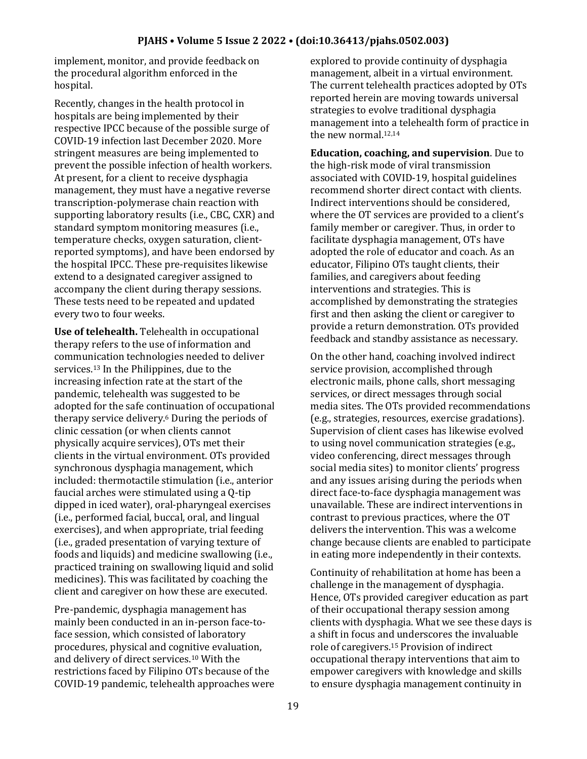implement, monitor, and provide feedback on the procedural algorithm enforced in the hospital.

Recently, changes in the health protocol in hospitals are being implemented by their respective IPCC because of the possible surge of COVID-19 infection last December 2020. More stringent measures are being implemented to prevent the possible infection of health workers. At present, for a client to receive dysphagia management, they must have a negative reverse transcription-polymerase chain reaction with supporting laboratory results (i.e., CBC, CXR) and standard symptom monitoring measures (i.e., temperature checks, oxygen saturation, clientreported symptoms), and have been endorsed by the hospital IPCC. These pre-requisites likewise extend to a designated caregiver assigned to accompany the client during therapy sessions. These tests need to be repeated and updated every two to four weeks.

**Use of telehealth.** Telehealth in occupational therapy refers to the use of information and communication technologies needed to deliver services.<sup>13</sup> In the Philippines, due to the increasing infection rate at the start of the pandemic, telehealth was suggested to be adopted for the safe continuation of occupational therapy service delivery.<sup>6</sup> During the periods of clinic cessation (or when clients cannot physically acquire services), OTs met their clients in the virtual environment. OTs provided synchronous dysphagia management, which included: thermotactile stimulation (i.e., anterior faucial arches were stimulated using a Q-tip dipped in iced water), oral-pharyngeal exercises (i.e., performed facial, buccal, oral, and lingual exercises), and when appropriate, trial feeding (i.e., graded presentation of varying texture of foods and liquids) and medicine swallowing (i.e., practiced training on swallowing liquid and solid medicines). This was facilitated by coaching the client and caregiver on how these are executed.

Pre-pandemic, dysphagia management has mainly been conducted in an in-person face-toface session, which consisted of laboratory procedures, physical and cognitive evaluation, and delivery of direct services.<sup>10</sup> With the restrictions faced by Filipino OTs because of the COVID-19 pandemic, telehealth approaches were

explored to provide continuity of dysphagia management, albeit in a virtual environment. The current telehealth practices adopted by OTs reported herein are moving towards universal strategies to evolve traditional dysphagia management into a telehealth form of practice in the new normal.12,14

**Education, coaching, and supervision**. Due to the high-risk mode of viral transmission associated with COVID-19, hospital guidelines recommend shorter direct contact with clients. Indirect interventions should be considered, where the OT services are provided to a client's family member or caregiver. Thus, in order to facilitate dysphagia management, OTs have adopted the role of educator and coach. As an educator, Filipino OTs taught clients, their families, and caregivers about feeding interventions and strategies. This is accomplished by demonstrating the strategies first and then asking the client or caregiver to provide a return demonstration. OTs provided feedback and standby assistance as necessary.

On the other hand, coaching involved indirect service provision, accomplished through electronic mails, phone calls, short messaging services, or direct messages through social media sites. The OTs provided recommendations (e.g., strategies, resources, exercise gradations). Supervision of client cases has likewise evolved to using novel communication strategies (e.g., video conferencing, direct messages through social media sites) to monitor clients' progress and any issues arising during the periods when direct face-to-face dysphagia management was unavailable. These are indirect interventions in contrast to previous practices, where the OT delivers the intervention. This was a welcome change because clients are enabled to participate in eating more independently in their contexts.

Continuity of rehabilitation at home has been a challenge in the management of dysphagia. Hence, OTs provided caregiver education as part of their occupational therapy session among clients with dysphagia. What we see these days is a shift in focus and underscores the invaluable role of caregivers.<sup>15</sup> Provision of indirect occupational therapy interventions that aim to empower caregivers with knowledge and skills to ensure dysphagia management continuity in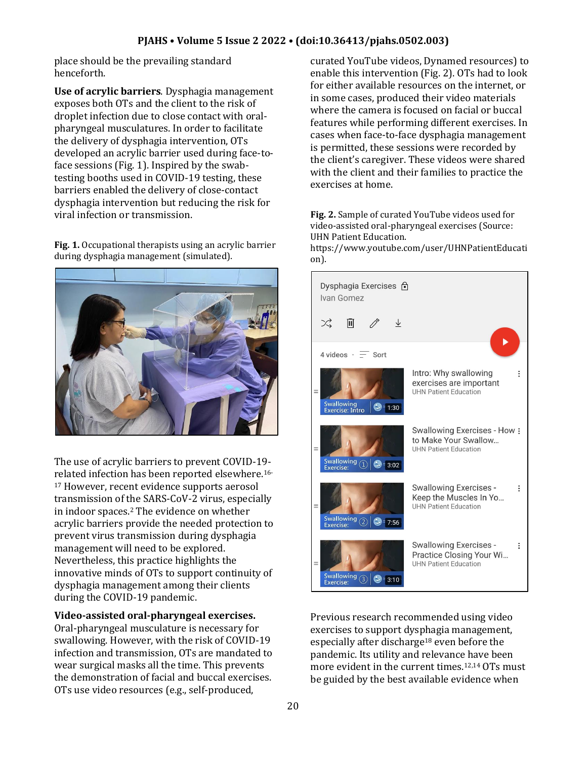place should be the prevailing standard henceforth.

**Use of acrylic barriers**. Dysphagia management exposes both OTs and the client to the risk of droplet infection due to close contact with oralpharyngeal musculatures. In order to facilitate the delivery of dysphagia intervention, OTs developed an acrylic barrier used during face-toface sessions (Fig. 1). Inspired by the swabtesting booths used in COVID-19 testing, these barriers enabled the delivery of close-contact dysphagia intervention but reducing the risk for viral infection or transmission.

**Fig. 1.** Occupational therapists using an acrylic barrier during dysphagia management (simulated).



The use of acrylic barriers to prevent COVID-19 related infection has been reported elsewhere.16- <sup>17</sup> However, recent evidence supports aerosol transmission of the SARS-CoV-2 virus, especially in indoor spaces.<sup>2</sup> The evidence on whether acrylic barriers provide the needed protection to prevent virus transmission during dysphagia management will need to be explored. Nevertheless, this practice highlights the innovative minds of OTs to support continuity of dysphagia management among their clients during the COVID-19 pandemic.

**Video-assisted oral-pharyngeal exercises.**  Oral-pharyngeal musculature is necessary for swallowing. However, with the risk of COVID-19 infection and transmission, OTs are mandated to wear surgical masks all the time. This prevents the demonstration of facial and buccal exercises. OTs use video resources (e.g., self-produced,

curated YouTube videos, Dynamed resources) to enable this intervention (Fig. 2). OTs had to look for either available resources on the internet, or in some cases, produced their video materials where the camera is focused on facial or buccal features while performing different exercises. In cases when face-to-face dysphagia management is permitted, these sessions were recorded by the client's caregiver. These videos were shared with the client and their families to practice the exercises at home.

#### **Fig. 2.** Sample of curated YouTube videos used for video-assisted oral-pharyngeal exercises (Source: UHN Patient Education.

https://www.youtube.com/user/UHNPatientEducati on).



Previous research recommended using video exercises to support dysphagia management, especially after discharge<sup>18</sup> even before the pandemic. Its utility and relevance have been more evident in the current times.12,14 OTs must be guided by the best available evidence when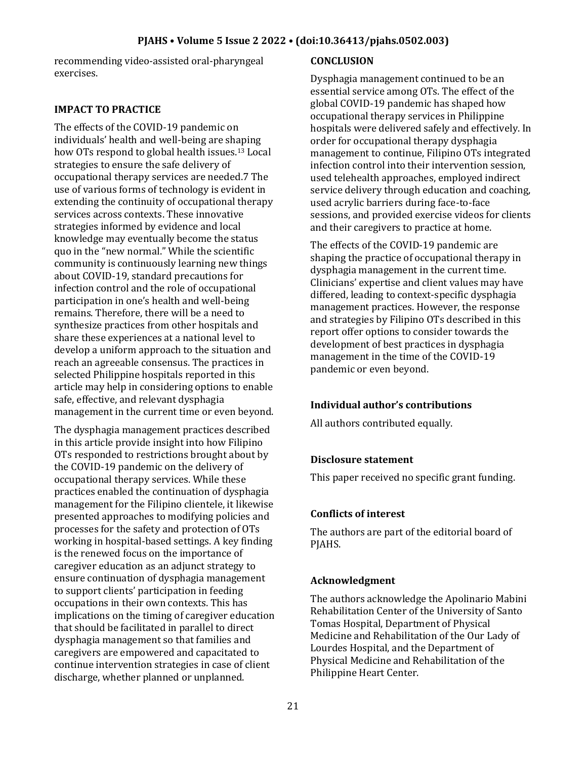### **PJAHS • Volume 5 Issue 2 2022 • (doi:10.36413/pjahs.0502.003)**

recommending video-assisted oral-pharyngeal exercises.

### **IMPACT TO PRACTICE**

The effects of the COVID-19 pandemic on individuals' health and well-being are shaping how OTs respond to global health issues.<sup>13</sup> Local strategies to ensure the safe delivery of occupational therapy services are needed.7 The use of various forms of technology is evident in extending the continuity of occupational therapy services across contexts. These innovative strategies informed by evidence and local knowledge may eventually become the status quo in the "new normal." While the scientific community is continuously learning new things about COVID-19, standard precautions for infection control and the role of occupational participation in one's health and well-being remains. Therefore, there will be a need to synthesize practices from other hospitals and share these experiences at a national level to develop a uniform approach to the situation and reach an agreeable consensus. The practices in selected Philippine hospitals reported in this article may help in considering options to enable safe, effective, and relevant dysphagia management in the current time or even beyond.

The dysphagia management practices described in this article provide insight into how Filipino OTs responded to restrictions brought about by the COVID-19 pandemic on the delivery of occupational therapy services. While these practices enabled the continuation of dysphagia management for the Filipino clientele, it likewise presented approaches to modifying policies and processes for the safety and protection of OTs working in hospital-based settings. A key finding is the renewed focus on the importance of caregiver education as an adjunct strategy to ensure continuation of dysphagia management to support clients' participation in feeding occupations in their own contexts. This has implications on the timing of caregiver education that should be facilitated in parallel to direct dysphagia management so that families and caregivers are empowered and capacitated to continue intervention strategies in case of client discharge, whether planned or unplanned.

### **CONCLUSION**

Dysphagia management continued to be an essential service among OTs. The effect of the global COVID-19 pandemic has shaped how occupational therapy services in Philippine hospitals were delivered safely and effectively. In order for occupational therapy dysphagia management to continue, Filipino OTs integrated infection control into their intervention session, used telehealth approaches, employed indirect service delivery through education and coaching, used acrylic barriers during face-to-face sessions, and provided exercise videos for clients and their caregivers to practice at home.

The effects of the COVID-19 pandemic are shaping the practice of occupational therapy in dysphagia management in the current time. Clinicians' expertise and client values may have differed, leading to context-specific dysphagia management practices. However, the response and strategies by Filipino OTs described in this report offer options to consider towards the development of best practices in dysphagia management in the time of the COVID-19 pandemic or even beyond.

## **Individual author's contributions**

All authors contributed equally.

### **Disclosure statement**

This paper received no specific grant funding.

### **Conflicts of interest**

The authors are part of the editorial board of PJAHS.

### **Acknowledgment**

The authors acknowledge the Apolinario Mabini Rehabilitation Center of the University of Santo Tomas Hospital, Department of Physical Medicine and Rehabilitation of the Our Lady of Lourdes Hospital, and the Department of Physical Medicine and Rehabilitation of the Philippine Heart Center.